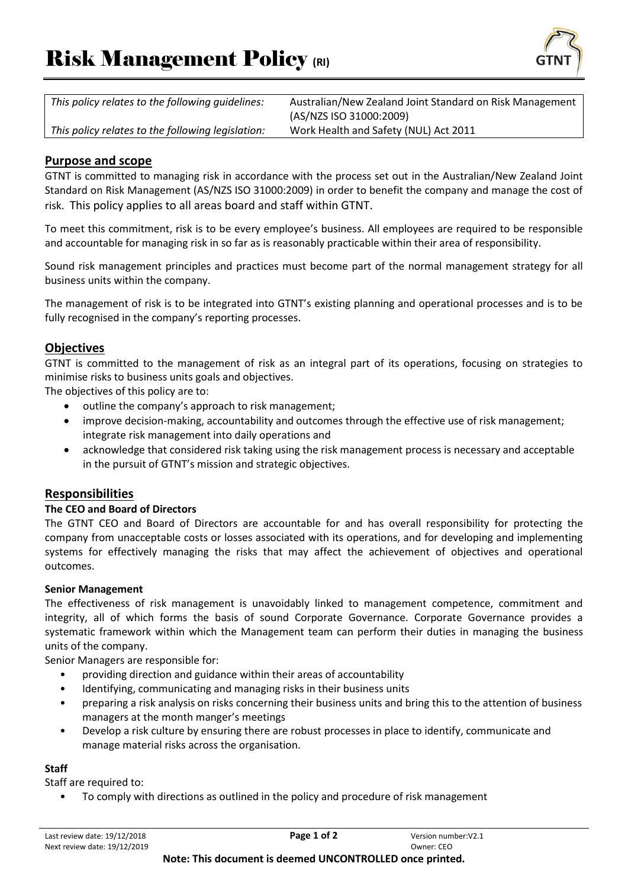

| This policy relates to the following quidelines:  | Australian/New Zealand Joint Standard on Risk Management |
|---------------------------------------------------|----------------------------------------------------------|
|                                                   | (AS/NZS ISO 31000:2009)                                  |
| This policy relates to the following legislation: | Work Health and Safety (NUL) Act 2011                    |
|                                                   |                                                          |

# **Purpose and scope**

GTNT is committed to managing risk in accordance with the process set out in the Australian/New Zealand Joint Standard on Risk Management (AS/NZS ISO 31000:2009) in order to benefit the company and manage the cost of risk. This policy applies to all areas board and staff within GTNT.

To meet this commitment, risk is to be every employee's business. All employees are required to be responsible and accountable for managing risk in so far as is reasonably practicable within their area of responsibility.

Sound risk management principles and practices must become part of the normal management strategy for all business units within the company.

The management of risk is to be integrated into GTNT's existing planning and operational processes and is to be fully recognised in the company's reporting processes.

## **Objectives**

GTNT is committed to the management of risk as an integral part of its operations, focusing on strategies to minimise risks to business units goals and objectives.

The objectives of this policy are to:

- outline the company's approach to risk management;
- improve decision-making, accountability and outcomes through the effective use of risk management; integrate risk management into daily operations and
- acknowledge that considered risk taking using the risk management process is necessary and acceptable in the pursuit of GTNT's mission and strategic objectives.

## **Responsibilities**

## **The CEO and Board of Directors**

The GTNT CEO and Board of Directors are accountable for and has overall responsibility for protecting the company from unacceptable costs or losses associated with its operations, and for developing and implementing systems for effectively managing the risks that may affect the achievement of objectives and operational outcomes.

#### **Senior Management**

The effectiveness of risk management is unavoidably linked to management competence, commitment and integrity, all of which forms the basis of sound Corporate Governance. Corporate Governance provides a systematic framework within which the Management team can perform their duties in managing the business units of the company.

Senior Managers are responsible for:

- providing direction and guidance within their areas of accountability
- Identifying, communicating and managing risks in their business units
- preparing a risk analysis on risks concerning their business units and bring this to the attention of business managers at the month manger's meetings
- Develop a risk culture by ensuring there are robust processes in place to identify, communicate and manage material risks across the organisation.

#### **Staff**

Staff are required to:

• To comply with directions as outlined in the policy and procedure of risk management